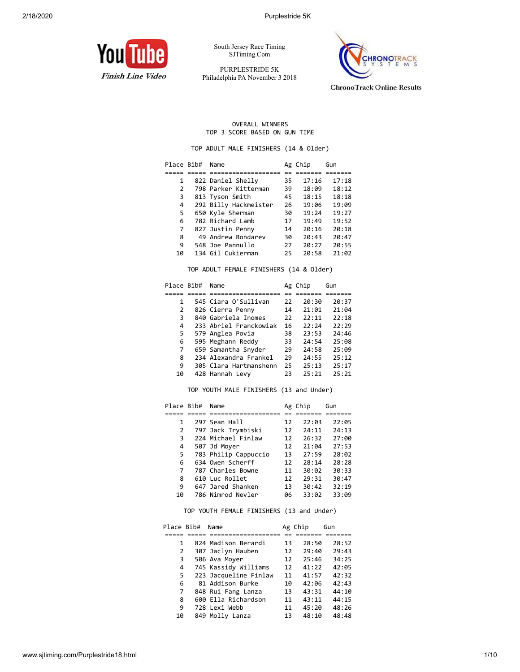

South Jersey Race Timing SJTiming.Com

PURPLESTRIDE 5K Philadelphia PA November 3 2018



**ChronoTrack Online Results** 

## OVERALL WINNERS TOP 3 SCORE BASED ON GUN TIME

TOP ADULT MALE FINISHERS (14 & Older)

| Place Bib# | Name                  |    | Ag Chip | Gun   |  |  |
|------------|-----------------------|----|---------|-------|--|--|
|            |                       |    |         |       |  |  |
| 1          | 822 Daniel Shelly     | 35 | 17:16   | 17:18 |  |  |
| 2          | 798 Parker Kitterman  | 39 | 18:09   | 18:12 |  |  |
| 3          | 813 Tyson Smith       | 45 | 18:15   | 18:18 |  |  |
| 4          | 292 Billy Hackmeister | 26 | 19:06   | 19:09 |  |  |
| 5          | 650 Kyle Sherman      | 30 | 19:24   | 19:27 |  |  |
| 6          | 782 Richard Lamb      | 17 | 19:49   | 19:52 |  |  |
| 7          | 827 Justin Penny      | 14 | 20:16   | 20:18 |  |  |
| 8          | 49 Andrew Bondarev    | 30 | 20:43   | 20:47 |  |  |
| 9          | 548 Joe Pannullo      | 27 | 20:27   | 20:55 |  |  |
| 10         | 134 Gil Cukierman     | 25 | 20:58   | 21:02 |  |  |

TOP ADULT FEMALE FINISHERS (14 & Older)

| Place Bib# | Name                   |    | Ag Chip | Gun   |
|------------|------------------------|----|---------|-------|
|            |                        |    |         |       |
| 1          | 545 Ciara O'Sullivan   | 22 | 20:30   | 20:37 |
| 2          | 826 Cierra Penny       | 14 | 21:01   | 21:04 |
| 3          | 840 Gabriela Inomes    | 22 | 22:11   | 22:18 |
| 4          | 233 Abriel Franckowiak | 16 | 22:24   | 22:29 |
| 5          | 579 Anglea Povia       | 38 | 23:53   | 24:46 |
| 6          | 595 Meghann Reddy      | 33 | 24:54   | 25:08 |
| 7          | 659 Samantha Snyder    | 29 | 24:58   | 25:09 |
| 8          | 234 Alexandra Frankel  | 29 | 24:55   | 25:12 |
| 9          | 305 Clara Hartmanshenn | 25 | 25:13   | 25:17 |
| 10         | 428 Hannah Levy        | 23 | 25:21   | 25:21 |

TOP YOUTH MALE FINISHERS (13 and Under)

| Place Bib# | Name                 |    | Ag Chip | Gun   |
|------------|----------------------|----|---------|-------|
|            |                      |    |         |       |
| 1          | 297 Sean Hall        | 12 | 22:03   | 22:05 |
| 2          | 797 Jack Trymbiski   | 12 | 24:11   | 24:13 |
| 3          | 224 Michael Finlaw   | 12 | 26:32   | 27:00 |
| 4          | 507 Jd Moyer         | 12 | 21:04   | 27:53 |
| 5          | 783 Philip Cappuccio | 13 | 27:59   | 28:02 |
| 6          | 634 Owen Scherff     | 12 | 28:14   | 28:28 |
| 7          | 787 Charles Bowne    | 11 | 30:02   | 30:33 |
| 8          | 610 Luc Rollet       | 12 | 29:31   | 30:47 |
| 9          | 647 Jared Shanken    | 13 | 30:42   | 32:19 |
| 10         | 786 Nimrod Nevler    | 06 | 33:02   | 33:09 |

## TOP YOUTH FEMALE FINISHERS (13 and Under)

| Place Bib# | Name                  | Ag Chip |       | Gun   |
|------------|-----------------------|---------|-------|-------|
|            |                       |         |       |       |
| 1          | 824 Madison Berardi   | 13      | 28:50 | 28:52 |
| 2          | 307 Jaclyn Hauben     | 12      | 29:40 | 29:43 |
| 3          | 506 Ava Moyer         | 12      | 25:46 | 34:25 |
| 4          | 745 Kassidy Williams  | 12      | 41:22 | 42:05 |
| 5          | 223 Jacqueline Finlaw | 11      | 41:57 | 42:32 |
| 6          | 81 Addison Burke      | 10      | 42:06 | 42:43 |
| 7          | 848 Rui Fang Lanza    | 13      | 43:31 | 44:10 |
| 8          | 600 Ella Richardson   | 11      | 43:11 | 44:15 |
| 9          | 728 Lexi Webb         | 11      | 45:20 | 48:26 |
| 10         | 849 Molly Lanza       | 13      | 48:10 | 48:48 |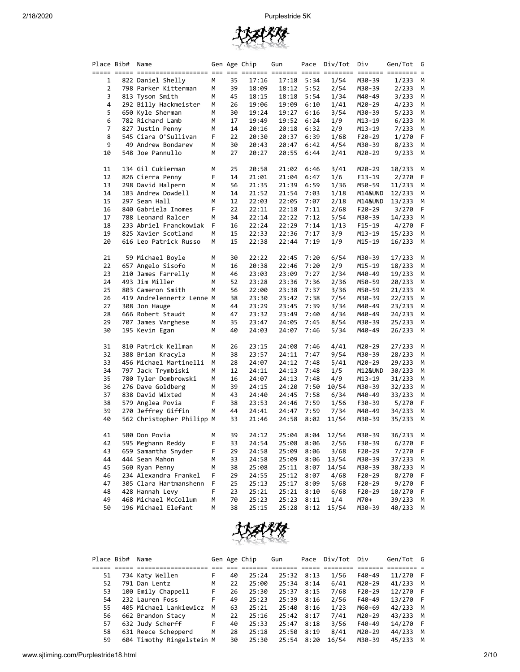

| Place Bib# | Name                      |   |    | Gen Age Chip | Gun   |      | Pace Div/Tot | Div      | Gen/Tot | G  |
|------------|---------------------------|---|----|--------------|-------|------|--------------|----------|---------|----|
|            |                           |   |    |              |       |      |              |          |         |    |
| 1          | 822 Daniel Shelly         | М | 35 | 17:16        | 17:18 | 5:34 | 1/54         | M30-39   | 1/233   | М  |
| 2          | 798 Parker Kitterman      | М | 39 | 18:09        | 18:12 | 5:52 | 2/54         | M30-39   | 2/233   | М  |
| 3          | 813 Tyson Smith           | М | 45 | 18:15        | 18:18 | 5:54 | 1/34         | M40-49   | 3/233   | М  |
| 4          | 292 Billy Hackmeister     | М | 26 | 19:06        | 19:09 | 6:10 | 1/41         | M20-29   | 4/233   | M  |
| 5          | 650 Kyle Sherman          | М | 30 | 19:24        | 19:27 | 6:16 | 3/54         | M30-39   | 5/233   | M  |
| 6          | 782 Richard Lamb          | М | 17 | 19:49        | 19:52 | 6:24 | 1/9          | M13-19   | 6/233   | М  |
| 7          | 827 Justin Penny          | М | 14 | 20:16        | 20:18 | 6:32 | 2/9          | M13-19   | 7/233   | М  |
| 8          | 545 Ciara O'Sullivan      | F | 22 | 20:30        | 20:37 | 6:39 | 1/68         | F20-29   | 1/270   | F  |
| 9          | 49 Andrew Bondarev        | М | 30 | 20:43        | 20:47 | 6:42 | 4/54         | M30-39   | 8/233   | М  |
| 10         | 548 Joe Pannullo          | М | 27 | 20:27        | 20:55 | 6:44 | 2/41         | M20-29   | 9/233   | М  |
| 11         | 134 Gil Cukierman         | м | 25 | 20:58        | 21:02 | 6:46 | 3/41         | M20-29   | 10/233  | М  |
| 12         | 826 Cierra Penny          | F | 14 | 21:01        | 21:04 | 6:47 | 1/6          | F13-19   | 2/270   | F  |
| 13         | 298 David Halpern         | М | 56 | 21:35        | 21:39 | 6:59 | 1/36         | M50-59   | 11/233  | М  |
| 14         | 183 Andrew Dowdell        | М | 14 | 21:52        | 21:54 | 7:03 | 1/18         | M14&UND  | 12/233  | М  |
| 15         | 297 Sean Hall             | м | 12 | 22:03        | 22:05 | 7:07 | 2/18         | M14&UND  | 13/233  | М  |
| 16         | 840 Gabriela Inomes       | F | 22 | 22:11        | 22:18 | 7:11 | 2/68         | F20-29   | 3/270   | F  |
| 17         | 788 Leonard Ralcer        | М | 34 | 22:14        | 22:22 | 7:12 | 5/54         | M30-39   | 14/233  | М  |
| 18         | 233 Abriel Franckowiak    | F | 16 | 22:24        | 22:29 | 7:14 | 1/13         | $F15-19$ | 4/270   | F  |
| 19         | 825 Xavier Scotland       | М | 15 | 22:33        | 22:36 | 7:17 | 3/9          | M13-19   | 15/233  | М  |
| 20         | 616 Leo Patrick Russo     | М | 15 | 22:38        | 22:44 | 7:19 | 1/9          | M15-19   | 16/233  | М  |
| 21         | 59 Michael Boyle          | М | 30 | 22:22        | 22:45 | 7:20 | 6/54         | M30-39   | 17/233  | M  |
| 22         | 657 Angelo Sisofo         | м | 16 | 20:38        | 22:46 | 7:20 | 2/9          | M15-19   | 18/233  | М  |
| 23         | 210 James Farrelly        | м | 46 | 23:03        | 23:09 | 7:27 | 2/34         | M40-49   | 19/233  | М  |
| 24         | 493 Jim Miller            | м | 52 | 23:28        | 23:36 | 7:36 | 2/36         | M50-59   | 20/233  | М  |
| 25         | 803 Cameron Smith         | M | 56 | 22:00        | 23:38 | 7:37 | 3/36         | M50-59   | 21/233  | М  |
| 26         | 419 Andrelennertz Lenne M |   | 38 | 23:30        | 23:42 | 7:38 | 7/54         | M30-39   | 22/233  | M  |
| 27         | 308 Jon Hauge             | М | 44 | 23:29        | 23:45 | 7:39 | 3/34         | M40-49   | 23/233  | M  |
| 28         | 666 Robert Staudt         | М | 47 | 23:32        | 23:49 | 7:40 | 4/34         | M40-49   | 24/233  | М  |
| 29         | 707 James Varghese        | М | 35 | 23:47        | 24:05 | 7:45 | 8/54         | M30-39   | 25/233  | М  |
| 30         | 195 Kevin Egan            | М | 40 | 24:03        | 24:07 | 7:46 | 5/34         | M40-49   | 26/233  | М  |
| 31         | 810 Patrick Kellman       | М | 26 | 23:15        | 24:08 | 7:46 | 4/41         | M20-29   | 27/233  | М  |
| 32         | 388 Brian Kracyla         | М | 38 | 23:57        | 24:11 | 7:47 | 9/54         | M30-39   | 28/233  | M  |
| 33         | 456 Michael Martinelli    | М | 28 | 24:07        | 24:12 | 7:48 | 5/41         | M20-29   | 29/233  | М  |
| 34         | 797 Jack Trymbiski        | М | 12 | 24:11        | 24:13 | 7:48 | 1/5          | M12&UND  | 30/233  | М  |
| 35         | 780 Tyler Dombrowski      | М | 16 | 24:07        | 24:13 | 7:48 | 4/9          | M13-19   | 31/233  | М  |
| 36         | 276 Dave Goldberg         | м | 39 | 24:15        | 24:20 | 7:50 | 10/54        | M30-39   | 32/233  | М  |
| 37         | 838 David Wixted          | м | 43 | 24:40        | 24:45 | 7:58 | 6/34         | M40-49   | 33/233  | М  |
| 38         | 579 Anglea Povia          | F | 38 | 23:53        | 24:46 | 7:59 | 1/56         | F30-39   | 5/270   | F  |
| 39         | 270 Jeffrey Giffin        | М | 44 | 24:41        | 24:47 | 7:59 | 7/34         | M40-49   | 34/233  | М  |
| 40         | 562 Christopher Philipp M |   | 33 | 21:46        | 24:58 | 8:02 | 11/54        | M30-39   | 35/233  | М  |
| 41         | 580 Don Povia             | м | 39 | 24:12        | 25:04 | 8:04 | 12/54        | M30-39   | 36/233  | M  |
| 42         | 595 Meghann Reddy         | F | 33 | 24:54        | 25:08 | 8:06 | 2/56         | F30-39   | 6/270   | -F |
| 43         | 659 Samantha Snyder       | F | 29 | 24:58        | 25:09 | 8:06 | 3/68         | F20-29   | 7/270   | F  |
| 44         | 444 Sean Mahon            | М | 33 | 24:58        | 25:09 | 8:06 | 13/54        | M30-39   | 37/233  | М  |
| 45         | 560 Ryan Penny            | М | 38 | 25:08        | 25:11 | 8:07 | 14/54        | M30-39   | 38/233  | м  |
| 46         | 234 Alexandra Frankel     | F | 29 | 24:55        | 25:12 | 8:07 | 4/68         | F20-29   | 8/270   | F  |
| 47         | 305 Clara Hartmanshenn    | F | 25 | 25:13        | 25:17 | 8:09 | 5/68         | F20-29   | 9/270   | F  |
| 48         | 428 Hannah Levy           | F | 23 | 25:21        | 25:21 | 8:10 | 6/68         | $F20-29$ | 10/270  | F  |
| 49         | 468 Michael McCollum      | М | 70 | 25:23        | 25:23 | 8:11 | 1/4          | M70+     | 39/233  | M  |
| 50         | 196 Michael Elefant       | M | 38 | 25:15        | 25:28 | 8:12 | 15/54        | M30-39   | 40/233  | М  |



| Place Bib# | Name                      |    |    | Gen Age Chip | Gun   | Pace | Div/Tot | Div      | Gen/Tot G |   |
|------------|---------------------------|----|----|--------------|-------|------|---------|----------|-----------|---|
|            |                           |    |    |              |       |      |         |          |           |   |
| 51         | 734 Katy Wellen           | F. | 40 | 25:24        | 25:32 | 8:13 | 1/56    | F40-49   | 11/270 F  |   |
| 52         | 791 Dan Lentz             | м  | 22 | 25:00        | 25:34 | 8:14 | 6/41    | M20-29   | 41/233    | M |
| 53         | 100 Emily Chappell        | F  | 26 | 25:30        | 25:37 | 8:15 | 7/68    | $F20-29$ | 12/270 F  |   |
| 54         | 232 Lauren Foss           | F  | 49 | 25:23        | 25:39 | 8:16 | 2/56    | $F40-49$ | 13/270 F  |   |
| 55         | 405 Michael Lankiewicz    | м  | 63 | 25:21        | 25:40 | 8:16 | 1/23    | M60-69   | 42/233    | M |
| 56         | 662 Brandon Stacy         | м  | 22 | 25:16        | 25:42 | 8:17 | 7/41    | $M20-29$ | 43/233    | M |
| 57         | 632 Judy Scherff          | F  | 40 | 25:33        | 25:47 | 8:18 | 3/56    | $F40-49$ | 14/270 F  |   |
| 58         | 631 Reece Schepperd       | M  | 28 | 25:18        | 25:50 | 8:19 | 8/41    | $M20-29$ | 44/233    | M |
| 59         | 604 Timothy Ringelstein M |    | 30 | 25:30        | 25:54 | 8:20 | 16/54   | M30-39   | 45/233    | м |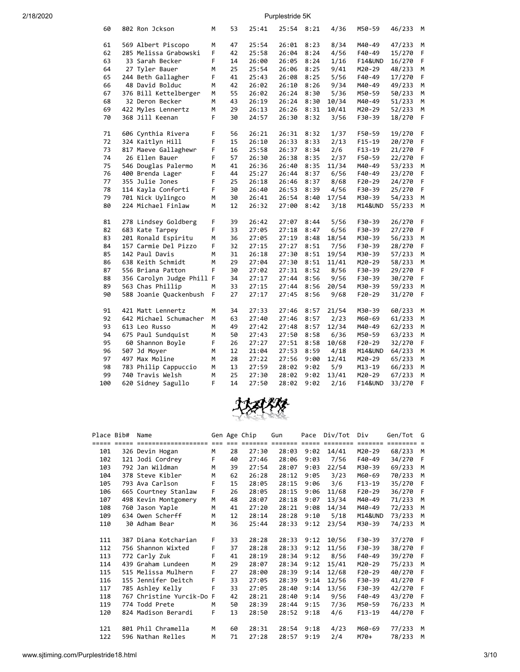| 60  | 802 Ron Jckson            | м | 53 | 25:41 | 25:54 | 8:21 | 4/36  | M50-59             | 46/233 | M  |
|-----|---------------------------|---|----|-------|-------|------|-------|--------------------|--------|----|
| 61  | 569 Albert Piscopo        | М | 47 | 25:54 | 26:01 | 8:23 | 8/34  | M40-49             | 47/233 | М  |
| 62  | 285 Melissa Grabowski     | F | 42 | 25:58 | 26:04 | 8:24 | 4/56  | F40-49             | 15/270 | F  |
| 63  | 33 Sarah Becker           | F | 14 | 26:00 | 26:05 | 8:24 | 1/16  | <b>F14&amp;UND</b> | 16/270 | F  |
| 64  | 27 Tyler Bauer            | Μ | 25 | 25:54 | 26:06 | 8:25 | 9/41  | M20-29             | 48/233 | М  |
| 65  | 244 Beth Gallagher        | F | 41 | 25:43 | 26:08 | 8:25 | 5/56  | F40-49             | 17/270 | F  |
| 66  | 48 David Bolduc           | M | 42 | 26:02 | 26:10 | 8:26 | 9/34  | M40-49             | 49/233 | M  |
| 67  | 376 Bill Kettelberger     | м | 55 | 26:02 | 26:24 | 8:30 | 5/36  | M50-59             | 50/233 | М  |
| 68  | 32 Deron Becker           | м | 43 | 26:19 | 26:24 | 8:30 | 10/34 | M40-49             | 51/233 | М  |
| 69  | 422 Myles Lennertz        | Μ | 29 | 26:13 | 26:26 | 8:31 | 10/41 | M20-29             | 52/233 | M  |
| 70  | 368 Jill Keenan           | F | 30 | 24:57 | 26:30 | 8:32 | 3/56  | F30-39             | 18/270 | F  |
|     |                           |   |    |       |       |      |       |                    |        |    |
| 71  | 606 Cynthia Rivera        | F | 56 | 26:21 | 26:31 | 8:32 | 1/37  | F50-59             | 19/270 | F  |
| 72  | 324 Kaitlyn Hill          | F | 15 | 26:10 | 26:33 | 8:33 | 2/13  | $F15-19$           | 20/270 | F  |
| 73  | 817 Maeve Gallaghewr      | F | 16 | 25:58 | 26:37 | 8:34 | 2/6   | $F13-19$           | 21/270 | F  |
| 74  | 26 Ellen Bauer            | F | 57 | 26:30 | 26:38 | 8:35 | 2/37  | F50-59             | 22/270 | F  |
| 75  | 546 Douglas Palermo       | Μ | 41 | 26:36 | 26:40 | 8:35 | 11/34 | M40-49             | 53/233 | М  |
| 76  | 400 Brenda Lager          | F | 44 | 25:27 | 26:44 | 8:37 | 6/56  | F40-49             | 23/270 | F  |
| 77  | 355 Julie Jones           | F | 25 | 26:18 | 26:46 | 8:37 | 8/68  | $F20-29$           | 24/270 | F  |
| 78  | 114 Kayla Conforti        | F | 30 | 26:40 | 26:53 | 8:39 | 4/56  | F30-39             | 25/270 | F  |
| 79  | 701 Nick Uylingco         | Μ | 30 | 26:41 | 26:54 | 8:40 | 17/54 | M30-39             | 54/233 | М  |
| 80  | 224 Michael Finlaw        | M | 12 | 26:32 | 27:00 | 8:42 | 3/18  | M14&UND            | 55/233 | M  |
| 81  | 278 Lindsey Goldberg      | F | 39 | 26:42 | 27:07 | 8:44 | 5/56  | F30-39             | 26/270 | F  |
| 82  | 683 Kate Tarpey           | F | 33 | 27:05 | 27:18 | 8:47 | 6/56  | F30-39             | 27/270 | F  |
| 83  | 201 Ronald Espiritu       | M | 36 | 27:05 | 27:19 | 8:48 | 18/54 | M30-39             | 56/233 | M  |
| 84  | 157 Carmie Del Pizzo      | F | 32 | 27:15 | 27:27 | 8:51 | 7/56  | F30-39             | 28/270 | F  |
| 85  | 142 Paul Davis            | Μ | 31 | 26:18 | 27:30 | 8:51 | 19/54 | M30-39             | 57/233 | М  |
| 86  | 638 Keith Schmidt         | Μ | 29 | 27:04 | 27:30 | 8:51 | 11/41 | M20-29             | 58/233 | М  |
| 87  | 556 Briana Patton         | F | 30 | 27:02 | 27:31 | 8:52 | 8/56  | F30-39             | 29/270 | F  |
| 88  | 356 Carolyn Judge Phill F |   | 34 | 27:17 | 27:44 | 8:56 | 9/56  | F30-39             | 30/270 | F  |
| 89  | 563 Chas Phillip          | Μ | 33 | 27:15 | 27:44 | 8:56 | 20/54 | M30-39             | 59/233 | M  |
| 90  | 588 Joanie Quackenbush    | F | 27 | 27:17 | 27:45 | 8:56 | 9/68  | F20-29             | 31/270 | F. |
| 91  | 421 Matt Lennertz         | M | 34 | 27:33 | 27:46 | 8:57 | 21/54 | M30-39             | 60/233 | М  |
| 92  | 642 Michael Schumacher    | M | 63 | 27:40 | 27:46 | 8:57 | 2/23  | M60-69             | 61/233 | M  |
| 93  | 613 Leo Russo             | M | 49 | 27:42 | 27:48 | 8:57 | 12/34 | M40-49             | 62/233 | M  |
| 94  | 675 Paul Sundquist        | M | 50 | 27:43 | 27:50 | 8:58 | 6/36  | M50-59             | 63/233 | M  |
| 95  | 60 Shannon Boyle          | F | 26 | 27:27 | 27:51 | 8:58 | 10/68 | F20-29             | 32/270 | F  |
| 96  | 507 Jd Moyer              | Μ | 12 | 21:04 | 27:53 | 8:59 | 4/18  | M14&UND            | 64/233 | М  |
| 97  | 497 Max Moline            | Μ | 28 | 27:22 | 27:56 | 9:00 | 12/41 | M20-29             | 65/233 | М  |
| 98  | 783 Philip Cappuccio      | Μ | 13 | 27:59 | 28:02 | 9:02 | 5/9   | M13-19             | 66/233 | М  |
| 99  | 740 Travis Welsh          | Μ | 25 | 27:30 | 28:02 | 9:02 | 13/41 | M20-29             | 67/233 | M  |
| 100 | 620 Sidney Sagullo        | F | 14 | 27:50 | 28:02 | 9:02 | 2/16  | <b>F14&amp;UND</b> | 33/270 | F  |



| Place Bib# | Name                      |   |    | Gen Age Chip | Gun   |      | Pace Div/Tot | Div                | Gen/Tot G |     |
|------------|---------------------------|---|----|--------------|-------|------|--------------|--------------------|-----------|-----|
|            |                           |   |    |              |       |      |              | ======             |           |     |
| 101        | 326 Devin Hogan           | M | 28 | 27:30        | 28:03 | 9:02 | 14/41        | M20-29             | 68/233    | M   |
| 102        | 121 Jodi Cordrey          | F | 40 | 27:46        | 28:06 | 9:03 | 7/56         | F40-49             | 34/270    | - F |
| 103        | 792 Jan Wildman           | M | 39 | 27:54        | 28:07 | 9:03 | 22/54        | M30-39             | 69/233    | M   |
| 104        | 378 Steve Kibler          | M | 62 | 26:28        | 28:12 | 9:05 | 3/23         | M60-69             | 70/233    | M   |
| 105        | 793 Ava Carlson           | F | 15 | 28:05        | 28:15 | 9:06 | 3/6          | $F13-19$           | 35/270    | - F |
| 106        | 665 Courtney Stanlaw      | F | 26 | 28:05        | 28:15 | 9:06 | 11/68        | $F20-29$           | 36/270    | - F |
| 107        | 498 Kevin Montgomery      | M | 48 | 28:07        | 28:18 | 9:07 | 13/34        | M40-49             | 71/233    | M   |
| 108        | 760 Jason Yaple           | M | 41 | 27:20        | 28:21 | 9:08 | 14/34        | M40-49             | 72/233    | M   |
| 109        | 634 Owen Scherff          | M | 12 | 28:14        | 28:28 | 9:10 | 5/18         | <b>M14&amp;UND</b> | 73/233    | M   |
| 110        | 30 Adham Bear             | M | 36 | 25:44        | 28:33 | 9:12 | 23/54        | M30-39             | 74/233    | м   |
|            |                           |   |    |              |       |      |              |                    |           |     |
| 111        | 387 Diana Kotcharian      | F | 33 | 28:28        | 28:33 | 9:12 | 10/56        | F30-39             | 37/270 F  |     |
| 112        | 756 Shannon Wixted        | F | 37 | 28:28        | 28:33 | 9:12 | 11/56        | F30-39             | 38/270    | - F |
| 113        | 772 Carly Zuk             | F | 41 | 28:19        | 28:34 | 9:12 | 8/56         | F40-49             | 39/270    | - F |
| 114        | 439 Graham Lundeen        | M | 29 | 28:07        | 28:34 | 9:12 | 15/41        | M20-29             | 75/233    | M   |
| 115        | 515 Melissa Mulhern       | F | 27 | 28:00        | 28:39 | 9:14 | 12/68        | $F20-29$           | 40/270    | - F |
| 116        | 155 Jennifer Deitch       | F | 33 | 27:05        | 28:39 | 9:14 | 12/56        | F30-39             | 41/270    | - F |
| 117        | 785 Ashley Kelly          | F | 33 | 27:05        | 28:40 | 9:14 | 13/56        | F30-39             | 42/270    | - F |
| 118        | 767 Christine Yurcik-Do F |   | 42 | 28:21        | 28:40 | 9:14 | 9/56         | F40-49             | 43/270    | - F |
| 119        | 774 Todd Prete            | M | 50 | 28:39        | 28:44 | 9:15 | 7/36         | M50-59             | 76/233    | M   |
| 120        | 824 Madison Berardi       | F | 13 | 28:50        | 28:52 | 9:18 | 4/6          | $F13-19$           | 44/270    | - F |
|            |                           |   |    |              |       |      |              |                    |           |     |
| 121        | 801 Phil Chramella        | M | 60 | 28:31        | 28:54 | 9:18 | 4/23         | M60-69             | 77/233    | M   |
| 122        | 596 Nathan Relles         | M | 71 | 27:28        | 28:57 | 9:19 | 2/4          | M70+               | 78/233    | M   |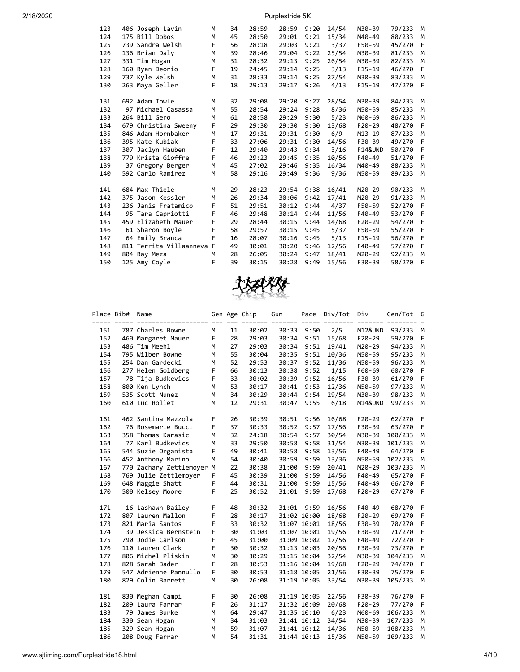| 123 | 406 Joseph Lavin          | M | 34 | 28:59 | 28:59 | 9:20 | 24/54 | M30-39             | 79/233 | M |
|-----|---------------------------|---|----|-------|-------|------|-------|--------------------|--------|---|
| 124 | 175 Bill Dobos            | M | 45 | 28:50 | 29:01 | 9:21 | 15/34 | M40-49             | 80/233 | M |
| 125 | 739 Sandra Welsh          | F | 56 | 28:18 | 29:03 | 9:21 | 3/37  | F50-59             | 45/270 | F |
| 126 | 136 Brian Daly            | M | 39 | 28:46 | 29:04 | 9:22 | 25/54 | M30-39             | 81/233 | M |
| 127 | 331 Tim Hogan             | M | 31 | 28:32 | 29:13 | 9:25 | 26/54 | M30-39             | 82/233 | M |
| 128 | 160 Ryan Deorio           | F | 19 | 24:45 | 29:14 | 9:25 | 3/13  | $F15-19$           | 46/270 | F |
| 129 | 737 Kyle Welsh            | M | 31 | 28:33 | 29:14 | 9:25 | 27/54 | M30-39             | 83/233 | M |
| 130 | 263 Maya Geller           | F | 18 | 29:13 | 29:17 | 9:26 | 4/13  | $F15-19$           | 47/270 | F |
| 131 | 692 Adam Towle            | M | 32 | 29:08 | 29:20 | 9:27 | 28/54 | M30-39             | 84/233 | M |
| 132 | 97 Michael Casassa        | M | 55 | 28:54 | 29:24 | 9:28 | 8/36  | M50-59             | 85/233 | M |
| 133 | 264 Bill Gero             | M | 61 | 28:58 | 29:29 | 9:30 | 5/23  | M60-69             | 86/233 | M |
| 134 | 679 Christina Sweeny      | F | 29 | 29:30 | 29:30 | 9:30 | 13/68 | $F20-29$           | 48/270 | F |
| 135 | 846 Adam Hornbaker        | M | 17 | 29:31 | 29:31 | 9:30 | 6/9   | $M13 - 19$         | 87/233 | M |
| 136 | 395 Kate Kubiak           | F | 33 | 27:06 | 29:31 | 9:30 | 14/56 | F30-39             | 49/270 | F |
| 137 | 307 Jaclyn Hauben         | F | 12 | 29:40 | 29:43 | 9:34 | 3/16  | <b>F14&amp;UND</b> | 50/270 | F |
| 138 | 779 Krista Gioffre        | F | 46 | 29:23 | 29:45 | 9:35 | 10/56 | F40-49             | 51/270 | F |
| 139 | 37 Gregory Berger         | M | 45 | 27:02 | 29:46 | 9:35 | 16/34 | M40-49             | 88/233 | M |
| 140 | 592 Carlo Ramirez         | M | 58 | 29:16 | 29:49 | 9:36 | 9/36  | M50-59             | 89/233 | M |
| 141 | 684 Max Thiele            | M | 29 | 28:23 | 29:54 | 9:38 | 16/41 | M20-29             | 90/233 | M |
| 142 | 375 Jason Kessler         | M | 26 | 29:34 | 30:06 | 9:42 | 17/41 | M20-29             | 91/233 | M |
| 143 | 236 Janis Fratamico       | F | 51 | 29:51 | 30:12 | 9:44 | 4/37  | F50-59             | 52/270 | F |
| 144 | 95 Tara Capriotti         | F | 46 | 29:48 | 30:14 | 9:44 | 11/56 | F40-49             | 53/270 | F |
| 145 | 459 Elizabeth Mauer       | F | 29 | 28:44 | 30:15 | 9:44 | 14/68 | $F20-29$           | 54/270 | F |
| 146 | 61 Sharon Boyle           | F | 58 | 29:57 | 30:15 | 9:45 | 5/37  | F50-59             | 55/270 | F |
| 147 | 64 Emily Branca           | F | 16 | 28:07 | 30:16 | 9:45 | 5/13  | $F15-19$           | 56/270 | F |
| 148 | 811 Territa Villaanneva F |   | 49 | 30:01 | 30:20 | 9:46 | 12/56 | F40-49             | 57/270 | F |
| 149 | 804 Ray Meza              | M | 28 | 26:05 | 30:24 | 9:47 | 18/41 | M20-29             | 92/233 | M |
| 150 | 125 Amy Coyle             | F | 39 | 30:15 | 30:28 | 9:49 | 15/56 | F30-39             | 58/270 | F |
|     |                           |   |    |       |       |      |       |                    |        |   |



| Place Bib# | Name                      |   |    | Gen Age Chip | Gun         | Pace        | Div/Tot | Div      | Gen/Tot | G            |
|------------|---------------------------|---|----|--------------|-------------|-------------|---------|----------|---------|--------------|
| 151        | 787 Charles Bowne         | M | 11 | 30:02        | 30:33       | 9:50        | 2/5     | M12&UND  | 93/233  | M            |
| 152        | 460 Margaret Mauer        | F | 28 | 29:03        | 30:34       | 9:51        | 15/68   | $F20-29$ | 59/270  | F            |
| 153        | 486 Tim Meehl             | M | 27 | 29:03        | 30:34       | 9:51        | 19/41   | M20-29   | 94/233  | м            |
| 154        | 795 Wilber Bowne          | M | 55 | 30:04        | 30:35       | 9:51        | 10/36   | M50-59   | 95/233  | М            |
| 155        | 254 Dan Gardecki          | M | 52 | 29:53        | 30:37       | 9:52        | 11/36   | M50-59   | 96/233  | M            |
| 156        | 277 Helen Goldberg        | F | 66 | 30:13        | 30:38       | 9:52        | 1/15    | F60-69   | 60/270  | F            |
| 157        | 78 Tija Budkevics         | F | 33 | 30:02        | 30:39       | 9:52        | 16/56   | F30-39   | 61/270  | $\mathsf{F}$ |
| 158        | 800 Ken Lynch             | M | 53 | 30:17        | 30:41       | 9:53        | 12/36   | M50-59   | 97/233  | М            |
| 159        | 535 Scott Nunez           | M | 34 | 30:29        | 30:44       | 9:54        | 29/54   | M30-39   | 98/233  | м            |
| 160        | 610 Luc Rollet            | М | 12 | 29:31        | 30:47       | 9:55        | 6/18    | M14&UND  | 99/233  | M            |
| 161        | 462 Santina Mazzola       | F | 26 | 30:39        | 30:51       | 9:56        | 16/68   | $F20-29$ | 62/270  | F            |
| 162        | 76 Rosemarie Bucci        | F | 37 | 30:33        | 30:52       | 9:57        | 17/56   | F30-39   | 63/270  | F            |
| 163        | 358 Thomas Karasic        | M | 32 | 24:18        | 30:54       | 9:57        | 30/54   | M30-39   | 100/233 | M            |
| 164        | 77 Karl Budkevics         | M | 33 | 29:50        | 30:58       | 9:58        | 31/54   | M30-39   | 101/233 | M            |
| 165        | 544 Suzie Organista       | F | 49 | 30:41        | 30:58       | 9:58        | 13/56   | F40-49   | 64/270  | F            |
| 166        | 452 Anthony Marino        | M | 54 | 30:40        | 30:59       | 9:59        | 13/36   | M50-59   | 102/233 | M            |
| 167        | 770 Zachary Zettlemoyer M |   | 22 | 30:38        | 31:00       | 9:59        | 20/41   | M20-29   | 103/233 | M            |
| 168        | 769 Julie Zettlemoyer     | F | 45 | 30:39        | 31:00       | 9:59        | 14/56   | F40-49   | 65/270  | F            |
| 169        | 648 Maggie Shatt          | F | 44 | 30:31        | 31:00       | 9:59        | 15/56   | F40-49   | 66/270  | -F           |
| 170        | 500 Kelsey Moore          | F | 25 | 30:52        | 31:01       | 9:59        | 17/68   | $F20-29$ | 67/270  | F            |
| 171        | 16 Lashawn Bailey         | F | 48 | 30:32        | 31:01       | 9:59        | 16/56   | F40-49   | 68/270  | F            |
| 172        | 807 Lauren Mallon         | F | 28 | 30:17        |             | 31:02 10:00 | 18/68   | $F20-29$ | 69/270  | F            |
| 173        | 821 Maria Santos          | F | 33 | 30:32        | 31:07 10:01 |             | 18/56   | F30-39   | 70/270  | F            |
| 174        | 39 Jessica Bernstein      | F | 30 | 31:03        |             | 31:07 10:01 | 19/56   | F30-39   | 71/270  | F            |
| 175        | 790 Jodie Carlson         | F | 45 | 31:00        |             | 31:09 10:02 | 17/56   | F40-49   | 72/270  | F            |
| 176        | 110 Lauren Clark          | F | 30 | 30:32        |             | 31:13 10:03 | 20/56   | F30-39   | 73/270  | F            |
| 177        | 806 Michel Pliskin        | M | 30 | 30:29        |             | 31:15 10:04 | 32/54   | M30-39   | 104/233 | M            |
| 178        | 828 Sarah Bader           | F | 28 | 30:53        |             | 31:16 10:04 | 19/68   | $F20-29$ | 74/270  | F            |
| 179        | 547 Adrienne Pannullo     | F | 30 | 30:53        |             | 31:18 10:05 | 21/56   | F30-39   | 75/270  | F            |
| 180        | 829 Colin Barrett         | M | 30 | 26:08        |             | 31:19 10:05 | 33/54   | M30-39   | 105/233 | M            |
| 181        | 830 Meghan Campi          | F | 30 | 26:08        |             | 31:19 10:05 | 22/56   | F30-39   | 76/270  | F            |
| 182        | 209 Laura Farrar          | F | 26 | 31:17        |             | 31:32 10:09 | 20/68   | F20-29   | 77/270  | F            |
| 183        | 79 James Burke            | M | 64 | 29:47        |             | 31:35 10:10 | 6/23    | M60-69   | 106/233 | м            |
| 184        | 330 Sean Hogan            | M | 34 | 31:03        |             | 31:41 10:12 | 34/54   | M30-39   | 107/233 | М            |
| 185        | 329 Sean Hogan            | M | 59 | 31:07        |             | 31:41 10:12 | 14/36   | M50-59   | 108/233 | м            |
| 186        | 208 Doug Farrar           | M | 54 | 31:31        |             | 31:44 10:13 | 15/36   | M50-59   | 109/233 | M            |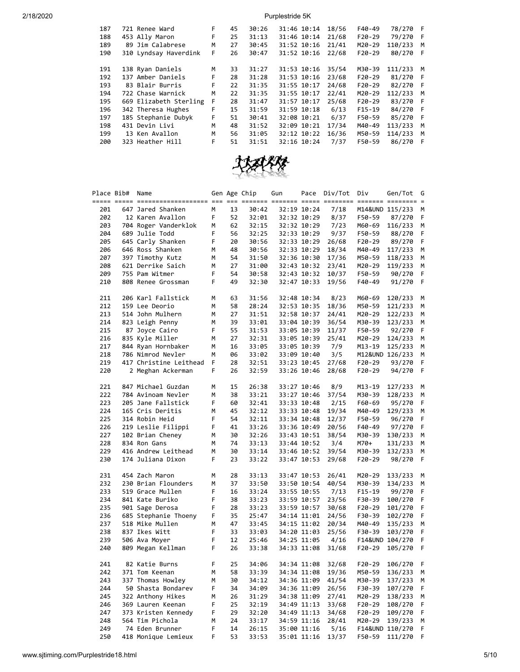| 187 | 721 Renee Ward         | F. | 45 | 30:26 | 31:46 10:14 | 18/56 | F40-49   | 78/270  | - F |
|-----|------------------------|----|----|-------|-------------|-------|----------|---------|-----|
| 188 | 453 Ally Maron         | F  | 25 | 31:13 | 31:46 10:14 | 21/68 | $F20-29$ | 79/270  | - F |
| 189 | 89 Jim Calabrese       | M  | 27 | 30:45 | 31:52 10:16 | 21/41 | M20-29   | 110/233 | M   |
| 190 | 310 Lyndsay Haverdink  | F  | 26 | 30:47 | 31:52 10:16 | 22/68 | $F20-29$ | 80/270  | -F  |
|     |                        |    |    |       |             |       |          |         |     |
| 191 | 138 Ryan Daniels       | M  | 33 | 31:27 | 31:53 10:16 | 35/54 | M30-39   | 111/233 | M   |
| 192 | 137 Amber Daniels      | F  | 28 | 31:28 | 31:53 10:16 | 23/68 | $F20-29$ | 81/270  | -F  |
| 193 | 83 Blair Burris        | F  | 22 | 31:35 | 31:55 10:17 | 24/68 | $F20-29$ | 82/270  | - F |
| 194 | 722 Chase Warnick      | M  | 22 | 31:35 | 31:55 10:17 | 22/41 | M20-29   | 112/233 | м   |
| 195 | 669 Elizabeth Sterling | F  | 28 | 31:47 | 31:57 10:17 | 25/68 | $F20-29$ | 83/270  | - F |
| 196 | 342 Theresa Hughes     | F  | 15 | 31:59 | 31:59 10:18 | 6/13  | $F15-19$ | 84/270  | - F |
| 197 | 185 Stephanie Dubyk    | F  | 51 | 30:41 | 32:08 10:21 | 6/37  | F50-59   | 85/270  | - F |
| 198 | 431 Devin Livi         | M  | 48 | 31:52 | 32:09 10:21 | 17/34 | M40-49   | 113/233 | M   |
| 199 | 13 Ken Avallon         | M  | 56 | 31:05 | 32:12 10:22 | 16/36 | M50-59   | 114/233 | M   |
| 200 | 323 Heather Hill       | F  | 51 | 31:51 | 32:16 10:24 | 7/37  | F50-59   | 86/270  | -F  |
|     |                        |    |    |       |             |       |          |         |     |



| Place Bib# | Name                   |    |    | Gen Age Chip | Gun |             | Pace Div/Tot | Div      | Gen/Tot           | G   |
|------------|------------------------|----|----|--------------|-----|-------------|--------------|----------|-------------------|-----|
|            |                        |    |    |              |     |             |              |          |                   |     |
| 201        | 647 Jared Shanken      | M  | 13 | 30:42        |     | 32:19 10:24 | 7/18         |          | M14&UND 115/233   | м   |
| 202        | 12 Karen Avallon       | F. | 52 | 32:01        |     | 32:32 10:29 | 8/37         | F50-59   | 87/270            | F   |
| 203        | 704 Roger Vanderklok   | М  | 62 | 32:15        |     | 32:32 10:29 | 7/23         | M60-69   | 116/233           | M   |
| 204        | 689 Julie Todd         | F  | 56 | 32:25        |     | 32:33 10:29 | 9/37         | F50-59   | 88/270            | - F |
| 205        | 645 Carly Shanken      | F  | 20 | 30:56        |     | 32:33 10:29 | 26/68        | F20-29   | 89/270            | - F |
| 206        | 646 Ross Shanken       | М  | 48 | 30:56        |     | 32:33 10:29 | 18/34        | M40-49   | 117/233           | М   |
| 207        | 397 Timothy Kutz       | М  | 54 | 31:50        |     | 32:36 10:30 | 17/36        | M50-59   | 118/233 M         |     |
| 208        | 621 Derrike Saich      | М  | 27 | 31:00        |     | 32:43 10:32 | 23/41        | M20-29   | 119/233           | M   |
| 209        | 755 Pam Witmer         | F  | 54 | 30:58        |     | 32:43 10:32 | 10/37        | F50-59   | 90/270            | F   |
| 210        | 808 Renee Grossman     | F  | 49 | 32:30        |     | 32:47 10:33 | 19/56        | F40-49   | 91/270            | - F |
|            |                        |    |    |              |     |             |              |          |                   |     |
| 211        | 206 Karl Fallstick     | М  | 63 | 31:56        |     | 32:48 10:34 | 8/23         | M60-69   | 120/233           | М   |
| 212        | 159 Lee Deorio         | М  | 58 | 28:24        |     |             | 18/36        |          | 121/233           |     |
|            |                        |    |    |              |     | 32:53 10:35 |              | M50-59   |                   | M   |
| 213        | 514 John Mulhern       | М  | 27 | 31:51        |     | 32:58 10:37 | 24/41        | M20-29   | 122/233           | м   |
| 214        | 823 Leigh Penny        | М  | 39 | 33:01        |     | 33:04 10:39 | 36/54        | M30-39   | 123/233           | М   |
| 215        | 87 Joyce Cairo         | F  | 55 | 31:53        |     | 33:05 10:39 | 11/37        | F50-59   | 92/270            | - F |
| 216        | 835 Kyle Miller        | М  | 27 | 32:31        |     | 33:05 10:39 | 25/41        | M20-29   | 124/233           | М   |
| 217        | 844 Ryan Hornbaker     | М  | 16 | 33:05        |     | 33:05 10:39 | 7/9          | M13-19   | 125/233           | M   |
| 218        | 786 Nimrod Nevler      | М  | 06 | 33:02        |     | 33:09 10:40 | 3/5          |          | M12&UND 126/233 M |     |
| 219        | 417 Christine Leithead | F  | 28 | 32:51        |     | 33:23 10:45 | 27/68        | F20-29   | 93/270            | F   |
| 220        | 2 Meghan Ackerman      | F  | 26 | 32:59        |     | 33:26 10:46 | 28/68        | F20-29   | 94/270 F          |     |
|            |                        |    |    |              |     |             |              |          |                   |     |
| 221        | 847 Michael Guzdan     | М  | 15 | 26:38        |     | 33:27 10:46 | 8/9          | M13-19   | 127/233           | М   |
| 222        | 784 Avinoam Nevler     | М  | 38 | 33:21        |     | 33:27 10:46 | 37/54        | M30-39   | 128/233           | M   |
| 223        | 205 Jane Fallstick     | F  | 60 | 32:41        |     | 33:33 10:48 | 2/15         | F60-69   | 95/270            | -F  |
| 224        | 165 Cris Deritis       | М  | 45 | 32:12        |     | 33:33 10:48 | 19/34        | M40-49   | 129/233           | M   |
| 225        | 314 Robin Heid         | F  | 54 | 32:11        |     | 33:34 10:48 | 12/37        | F50-59   | 96/270            | F   |
| 226        | 219 Leslie Filippi     | F  | 41 | 33:26        |     | 33:36 10:49 | 20/56        | F40-49   | 97/270            | - F |
| 227        | 102 Brian Cheney       | М  | 30 | 32:26        |     | 33:43 10:51 | 38/54        | M30-39   | 130/233           | М   |
| 228        | 834 Ron Gans           | М  | 74 | 33:13        |     | 33:44 10:52 | 3/4          | M70+     | 131/233           | M   |
| 229        | 416 Andrew Leithead    | М  | 30 | 33:14        |     | 33:46 10:52 | 39/54        | M30-39   | 132/233 M         |     |
| 230        | 174 Juliana Dixon      | F  | 23 | 33:22        |     | 33:47 10:53 | 29/68        | F20-29   | 98/270            | - F |
|            |                        |    |    |              |     |             |              |          |                   |     |
| 231        | 454 Zach Maron         | М  | 28 | 33:13        |     | 33:47 10:53 | 26/41        | M20-29   | 133/233           | М   |
| 232        | 230 Brian Flounders    | М  | 37 | 33:50        |     | 33:50 10:54 | 40/54        | M30-39   | 134/233           | М   |
| 233        | 519 Grace Mullen       | F  | 16 | 33:24        |     | 33:55 10:55 | 7/13         | $F15-19$ | 99/270            | F   |
| 234        | 841 Kate Buriko        | F  | 38 | 33:23        |     | 33:59 10:57 | 23/56        | F30-39   | 100/270           | -F  |
| 235        | 901 Sage Derosa        | F  | 28 | 33:23        |     | 33:59 10:57 | 30/68        | F20-29   | 101/270           | F   |
| 236        | 685 Stephanie Thoeny   | F  | 35 | 25:47        |     | 34:14 11:01 | 24/56        | F30-39   | 102/270           | F   |
| 237        | 518 Mike Mullen        | М  | 47 | 33:45        |     | 34:15 11:02 | 20/34        | M40-49   | 135/233 M         |     |
| 238        | 837 Ikes Witt          | F  | 33 | 33:03        |     | 34:20 11:03 | 25/56        | F30-39   | 103/270           | - F |
| 239        | 506 Ava Moyer          | F  | 12 | 25:46        |     | 34:25 11:05 | 4/16         |          | F14&UND 104/270   | F   |
| 240        | 809 Megan Kellman      | F. | 26 | 33:38        |     | 34:33 11:08 | 31/68        | F20-29   | 105/270           | - F |
|            |                        |    |    |              |     |             |              |          |                   |     |
| 241        | 82 Katie Burns         | F  | 25 | 34:06        |     | 34:34 11:08 | 32/68        | F20-29   | 106/270           | -F  |
| 242        | 371 Tom Keenan         | М  | 58 | 33:39        |     | 34:34 11:08 | 19/36        | M50-59   | 136/233           | M   |
| 243        | 337 Thomas Howley      | м  | 30 | 34:12        |     | 34:36 11:09 | 41/54        | M30-39   | 137/233           | М   |
| 244        | 50 Shasta Bondarev     | F  | 34 | 34:09        |     | 34:36 11:09 | 26/56        | F30-39   | 107/270           | F   |
| 245        | 322 Anthony Hikes      | М  | 26 | 31:29        |     | 34:38 11:09 | 27/41        | M20-29   | 138/233           | M   |
| 246        | 369 Lauren Keenan      | F  | 25 | 32:19        |     | 34:49 11:13 | 33/68        | F20-29   | 108/270           | F   |
| 247        | 373 Kristen Kennedy    | F  | 29 | 32:20        |     | 34:49 11:13 | 34/68        | $F20-29$ | 109/270           | F   |
| 248        | 564 Tim Pichola        | Μ  | 24 | 33:17        |     | 34:59 11:16 | 28/41        | M20-29   | 139/233           | м   |
| 249        | 74 Eden Brunner        | F  | 14 | 26:15        |     | 35:00 11:16 | 5/16         |          | F14&UND 110/270   | F   |
| 250        | 418 Monique Lemieux    | F  | 53 | 33:53        |     | 35:01 11:16 | 13/37        | F50-59   | 111/270           | F   |
|            |                        |    |    |              |     |             |              |          |                   |     |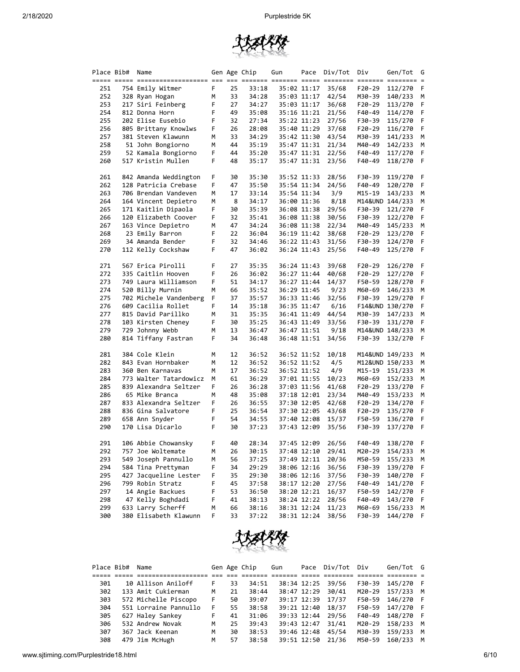

| Gen Age Chip<br><u>sisti 2000 aliitiitiitiitiitti oti oti oliitti osista osee oliitiit itiitii osista osistaa s</u><br>754 Emily Witmer<br>F.<br>25<br>33:18<br>35:02 11:17<br>35/68<br>251<br>252<br>328 Ryan Hogan<br>М<br>33<br>34:28<br>35:03 11:17<br>42/54<br>217 Siri Feinberg<br>F<br>253<br>27<br>34:27<br>35:03 11:17<br>36/68<br>F<br>254<br>812 Donna Horn<br>49<br>35:08<br>35:16 11:21<br>21/56<br>F<br>255<br>202 Elise Eusebio<br>32<br>27:34<br>35:22 11:23<br>27/56 | F20-29<br>M30-39<br>F20-29<br>F40-49<br>F30-39<br>F20-29<br>M30-39 | 112/270<br>140/233<br>113/270<br>114/270<br>115/270 | F<br>М<br>F<br>F |
|---------------------------------------------------------------------------------------------------------------------------------------------------------------------------------------------------------------------------------------------------------------------------------------------------------------------------------------------------------------------------------------------------------------------------------------------------------------------------------------|--------------------------------------------------------------------|-----------------------------------------------------|------------------|
|                                                                                                                                                                                                                                                                                                                                                                                                                                                                                       |                                                                    |                                                     |                  |
|                                                                                                                                                                                                                                                                                                                                                                                                                                                                                       |                                                                    |                                                     |                  |
|                                                                                                                                                                                                                                                                                                                                                                                                                                                                                       |                                                                    |                                                     |                  |
|                                                                                                                                                                                                                                                                                                                                                                                                                                                                                       |                                                                    |                                                     |                  |
|                                                                                                                                                                                                                                                                                                                                                                                                                                                                                       |                                                                    |                                                     |                  |
|                                                                                                                                                                                                                                                                                                                                                                                                                                                                                       |                                                                    |                                                     | F                |
| F<br>256<br>805 Brittany Knowlws<br>26<br>28:08<br>35:40 11:29<br>37/68                                                                                                                                                                                                                                                                                                                                                                                                               |                                                                    | 116/270                                             | F                |
| 257<br>381 Steven Klawunn<br>33<br>43/54<br>М<br>34:29<br>35:42 11:30                                                                                                                                                                                                                                                                                                                                                                                                                 |                                                                    | 141/233                                             | М                |
| 258<br>51 John Bongiorno<br>М<br>44<br>35:19<br>35:47 11:31<br>21/34                                                                                                                                                                                                                                                                                                                                                                                                                  | M40-49                                                             | 142/233                                             | М                |
| 259<br>52 Kamala Bongiorno<br>F<br>44<br>35:20<br>35:47 11:31<br>22/56                                                                                                                                                                                                                                                                                                                                                                                                                | F40-49                                                             | 117/270                                             | F                |
| 260<br>517 Kristin Mullen<br>F<br>35:17<br>35:47 11:31<br>23/56<br>48                                                                                                                                                                                                                                                                                                                                                                                                                 | F40-49                                                             | 118/270                                             | F                |
|                                                                                                                                                                                                                                                                                                                                                                                                                                                                                       |                                                                    |                                                     |                  |
| F<br>261<br>30<br>35:30<br>35:52 11:33<br>28/56<br>842 Amanda Weddington                                                                                                                                                                                                                                                                                                                                                                                                              | F30-39                                                             | 119/270                                             | F                |
| 262<br>128 Patricia Crebase<br>F<br>47<br>35:50<br>35:54 11:34<br>24/56                                                                                                                                                                                                                                                                                                                                                                                                               | F40-49                                                             | 120/270                                             | F                |
| 3/9<br>263<br>706 Brendan Vandeven<br>М<br>17<br>33:14<br>35:54 11:34                                                                                                                                                                                                                                                                                                                                                                                                                 | M15-19                                                             | 143/233                                             | M                |
| 264<br>164 Vincent Depietro<br>М<br>8<br>34:17<br>36:00 11:36<br>8/18                                                                                                                                                                                                                                                                                                                                                                                                                 | M14&UND 144/233                                                    |                                                     | М                |
| 265<br>171 Kaitlin Dipaola<br>F<br>35:39<br>30<br>36:08 11:38<br>29/56                                                                                                                                                                                                                                                                                                                                                                                                                | F30-39                                                             | 121/270                                             | F                |
| 120 Elizabeth Coover<br>266<br>F<br>32<br>35:41<br>36:08 11:38<br>30/56                                                                                                                                                                                                                                                                                                                                                                                                               | F30-39                                                             | 122/270                                             | F                |
| 267<br>163 Vince Depietro<br>М<br>47<br>34:24<br>36:08 11:38<br>22/34                                                                                                                                                                                                                                                                                                                                                                                                                 | M40-49                                                             | 145/233                                             | М                |
| 268<br>23 Emily Barron<br>F<br>22<br>36:04<br>36:19 11:42<br>38/68                                                                                                                                                                                                                                                                                                                                                                                                                    | F20-29                                                             | 123/270                                             | F                |
| 34 Amanda Bender<br>F<br>32<br>34:46<br>36:22 11:43                                                                                                                                                                                                                                                                                                                                                                                                                                   |                                                                    |                                                     | F                |
| 269<br>31/56<br>F<br>47<br>25/56                                                                                                                                                                                                                                                                                                                                                                                                                                                      | F30-39                                                             | 124/270                                             | -F               |
| 270<br>112 Kelly Cockshaw<br>36:02<br>36:24 11:43                                                                                                                                                                                                                                                                                                                                                                                                                                     | F40-49                                                             | 125/270                                             |                  |
| 567 Erica Pirolli<br>F<br>271<br>27<br>35:35<br>36:24 11:43<br>39/68                                                                                                                                                                                                                                                                                                                                                                                                                  | F20-29                                                             | 126/270                                             | F                |
| F<br>272<br>335 Caitlin Hooven<br>26<br>36:02<br>36:27 11:44<br>40/68                                                                                                                                                                                                                                                                                                                                                                                                                 | F20-29                                                             | 127/270                                             | F                |
| 749 Laura Williamson<br>273<br>F<br>51<br>14/37<br>34:17<br>36:27 11:44                                                                                                                                                                                                                                                                                                                                                                                                               | F50-59                                                             | 128/270                                             | F                |
| 274<br>520 Billy Murnin<br>М<br>66<br>35:52<br>36:29 11:45<br>9/23                                                                                                                                                                                                                                                                                                                                                                                                                    | M60-69                                                             | 146/233                                             | М                |
| 702 Michele Vandenberg<br>F<br>275<br>37<br>35:57<br>36:33 11:46<br>32/56                                                                                                                                                                                                                                                                                                                                                                                                             | F30-39                                                             | 129/270                                             | F                |
| F<br>276<br>609 Cacilia Rollet<br>14<br>35:18<br>6/16<br>36:35 11:47                                                                                                                                                                                                                                                                                                                                                                                                                  | F14&UND 130/270                                                    |                                                     | F                |
| 277<br>815 David Parillko<br>М<br>31<br>35:35<br>36:41 11:49<br>44/54                                                                                                                                                                                                                                                                                                                                                                                                                 | M30-39                                                             | 147/233                                             | М                |
| 278<br>F<br>103 Kirsten Cheney<br>30<br>33/56<br>35:25<br>36:43 11:49                                                                                                                                                                                                                                                                                                                                                                                                                 | F30-39                                                             | 131/270                                             | F                |
| 279<br>729 Johnny Webb<br>36:47<br>9/18<br>М<br>13<br>36:47 11:51                                                                                                                                                                                                                                                                                                                                                                                                                     |                                                                    | M14&UND 148/233                                     | М                |
| 814 Tiffany Fastran<br>280<br>F<br>34<br>36:48<br>36:48 11:51<br>34/56                                                                                                                                                                                                                                                                                                                                                                                                                | F30-39                                                             | 132/270                                             | F                |
|                                                                                                                                                                                                                                                                                                                                                                                                                                                                                       |                                                                    |                                                     |                  |
| 281<br>384 Cole Klein<br>12<br>36:52<br>10/18<br>М<br>36:52 11:52                                                                                                                                                                                                                                                                                                                                                                                                                     | M14&UND 149/233                                                    |                                                     | М                |
| 282<br>843 Evan Hornbaker<br>М<br>12<br>36:52<br>36:52 11:52<br>4/5                                                                                                                                                                                                                                                                                                                                                                                                                   | M12&UND 150/233                                                    |                                                     | М                |
| 283<br>360 Ben Karnavas<br>М<br>17<br>36:52<br>36:52 11:52<br>4/9                                                                                                                                                                                                                                                                                                                                                                                                                     | M15-19                                                             | 151/233                                             | М                |
| 284<br>773 Walter Tatardowicz<br>61<br>36:29<br>М<br>37:01 11:55<br>10/23                                                                                                                                                                                                                                                                                                                                                                                                             | M60-69                                                             | 152/233                                             | М                |
| F<br>285<br>839 Alexandra Seltzer<br>26<br>36:28<br>37:03 11:56<br>41/68                                                                                                                                                                                                                                                                                                                                                                                                              | F20-29                                                             | 133/270                                             | F                |
| 286<br>65 Mike Branca<br>М<br>48<br>35:08<br>37:18 12:01<br>23/34                                                                                                                                                                                                                                                                                                                                                                                                                     | M40-49                                                             | 153/233                                             | M                |
| 287<br>833 Alexandra Seltzer<br>F<br>26<br>36:55<br>37:30 12:05<br>42/68                                                                                                                                                                                                                                                                                                                                                                                                              | F20-29                                                             | 134/270                                             | F                |
| F<br>288<br>836 Gina Salvatore<br>25<br>36:54<br>37:30 12:05<br>43/68                                                                                                                                                                                                                                                                                                                                                                                                                 | F20-29                                                             | 135/270                                             | F                |
| 289<br>F<br>658 Ann Snyder<br>54<br>34:55<br>15/37<br>37:40 12:08                                                                                                                                                                                                                                                                                                                                                                                                                     | F50-59                                                             | 136/270                                             | F                |
| 290<br>170 Lisa Dicarlo<br>F<br>30<br>37:23<br>37:43 12:09<br>35/56                                                                                                                                                                                                                                                                                                                                                                                                                   | F30-39                                                             | 137/270                                             | -F               |
|                                                                                                                                                                                                                                                                                                                                                                                                                                                                                       |                                                                    |                                                     |                  |
| F<br>291<br>106 Abbie Chowansky<br>40<br>28:34<br>37:45 12:09<br>26/56                                                                                                                                                                                                                                                                                                                                                                                                                | $F40-49$                                                           | 138/270                                             | -F               |
| 292<br>757 Joe Woltemate<br>M<br>26<br>30:15<br>37:48 12:10<br>29/41                                                                                                                                                                                                                                                                                                                                                                                                                  | M20-29                                                             | 154/233                                             | M                |
| 293<br>549 Joseph Pannullo<br>56<br>37:25<br>37:49 12:11<br>20/36<br>м                                                                                                                                                                                                                                                                                                                                                                                                                | M50-59                                                             | 155/233                                             | M                |
| F<br>38:06 12:16<br>294<br>584 Tina Prettyman<br>34<br>29:29<br>36/56                                                                                                                                                                                                                                                                                                                                                                                                                 | F30-39                                                             | 139/270                                             | F                |
| 295<br>427 Jacqueline Lester<br>F<br>29:30<br>38:06 12:16<br>35<br>37/56                                                                                                                                                                                                                                                                                                                                                                                                              | F30-39                                                             | 140/270                                             | F                |
| 296<br>799 Robin Stratz<br>F<br>38:17 12:20<br>45<br>37:58<br>27/56                                                                                                                                                                                                                                                                                                                                                                                                                   | F40-49                                                             | 141/270                                             | F                |
| 297<br>14 Angie Backues<br>F<br>36:50<br>38:20 12:21<br>16/37<br>53                                                                                                                                                                                                                                                                                                                                                                                                                   | F50-59                                                             | 142/270                                             | F                |
| F<br>298<br>47 Kelly Boghdadi<br>38:24 12:22<br>41<br>38:13<br>28/56                                                                                                                                                                                                                                                                                                                                                                                                                  | F40-49                                                             | 143/270                                             | F                |
| 633 Larry Scherff<br>299<br>М<br>38:16<br>38:31 12:24<br>11/23<br>66                                                                                                                                                                                                                                                                                                                                                                                                                  | M60-69                                                             | 156/233                                             | М                |
| 300<br>F<br>380 Elisabeth Klawunn<br>33<br>37:22<br>38:31 12:24<br>38/56                                                                                                                                                                                                                                                                                                                                                                                                              | F30-39                                                             | 144/270                                             | F                |



| Place Bib# | Name                  |    |    | Gen Age Chip | Gun |             | Pace Div/Tot | Div    | Gen/Tot G |   |
|------------|-----------------------|----|----|--------------|-----|-------------|--------------|--------|-----------|---|
|            |                       |    |    |              |     |             |              |        |           |   |
| 301        | 10 Allison Aniloff    | F. | 33 | 34:51        |     | 38:34 12:25 | 39/56        | F30-39 | 145/270 F |   |
| 302        | 133 Amit Cukierman    | м  | 21 | 38:44        |     | 38:47 12:29 | 30/41        | M20-29 | 157/233 M |   |
| 303        | 572 Michelle Piscopo  | F. | 50 | 39:07        |     | 39:17 12:39 | 17/37        | F50-59 | 146/270 F |   |
| 304        | 551 Lorraine Pannullo | F  | 55 | 38:58        |     | 39:21 12:40 | 18/37        | F50-59 | 147/270 F |   |
| 305        | 627 Haley Sankey      | F  | 41 | 31:06        |     | 39:33 12:44 | 29/56        | F40-49 | 148/270 F |   |
| 306        | 532 Andrew Novak      | м  | 25 | 39:43        |     | 39:43 12:47 | 31/41        | M20-29 | 158/233 M |   |
| 307        | 367 Jack Keenan       | м  | 30 | 38:53        |     | 39:46 12:48 | 45/54        | M30-39 | 159/233   | M |
| 308        | 479 Jim McHugh        | М  | 57 | 38:58        |     | 39:51 12:50 | 21/36        | M50-59 | 160/233   | M |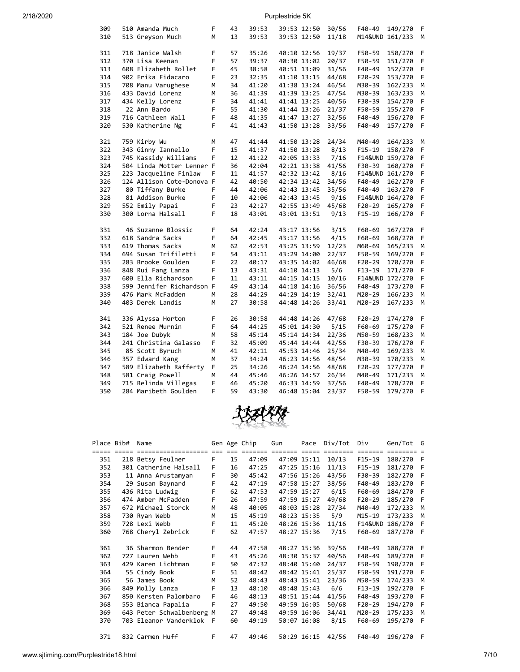| 309 | 510 Amanda Much           | F | 43       | 39:53 | 39:53 12:50 | 30/56 | F40-49          | 149/270 | F      |
|-----|---------------------------|---|----------|-------|-------------|-------|-----------------|---------|--------|
| 310 | 513 Greyson Much          | M | 13       | 39:53 | 39:53 12:50 | 11/18 | M14&UND 161/233 |         | M      |
|     |                           |   |          |       |             |       |                 |         |        |
| 311 | 718 Janice Walsh          | F | 57       | 35:26 | 40:10 12:56 | 19/37 | F50-59          | 150/270 | F      |
| 312 | 370 Lisa Keenan           | F | 57       | 39:37 | 40:30 13:02 | 20/37 | F50-59          | 151/270 | F      |
| 313 | 608 Elizabeth Rollet      | F | 45       | 38:58 | 40:51 13:09 | 31/56 | F40-49          | 152/270 | F      |
| 314 | 902 Erika Fidacaro        | F | 23       | 32:35 | 41:10 13:15 | 44/68 | $F20-29$        | 153/270 | F      |
| 315 | 708 Manu Varughese        | M | 34       | 41:20 | 41:38 13:24 | 46/54 | M30-39          | 162/233 | M      |
| 316 | 433 David Lorenz          | M | 36       | 41:39 | 41:39 13:25 | 47/54 | M30-39          | 163/233 | M      |
| 317 | 434 Kelly Lorenz          | F | 34       | 41:41 | 41:41 13:25 | 40/56 | F30-39          | 154/270 | F      |
| 318 | 22 Ann Bardo              | F | 55       | 41:30 | 41:44 13:26 | 21/37 | F50-59          | 155/270 | F      |
| 319 | 716 Cathleen Wall         | F | 48       | 41:35 | 41:47 13:27 | 32/56 | F40-49          | 156/270 | F      |
| 320 | 530 Katherine Ng          | F | 41       | 41:43 | 41:50 13:28 | 33/56 | F40-49          | 157/270 | F      |
|     |                           |   |          |       |             |       |                 |         |        |
| 321 | 759 Kirby Wu              | M | 47       | 41:44 | 41:50 13:28 | 24/34 | M40-49          | 164/233 | M      |
| 322 | 343 Ginny Iannello        | F | 15       | 41:37 | 41:50 13:28 | 8/13  | $F15-19$        | 158/270 | F      |
| 323 | 745 Kassidy Williams      | F | 12       | 41:22 | 42:05 13:33 | 7/16  | F14&UND 159/270 |         | F      |
| 324 | 504 Linda Motter Lenner F |   | 36       | 42:04 | 42:21 13:38 | 41/56 | F30-39          | 160/270 | F      |
| 325 | 223 Jacqueline Finlaw     | F | 11       | 41:57 | 42:32 13:42 | 8/16  | F14&UND 161/270 |         | F      |
| 326 | 124 Allison Cote-Donova F |   | 42       | 40:50 | 42:34 13:42 | 34/56 | F40-49          | 162/270 | F      |
| 327 | 80 Tiffany Burke          | F | 44       | 42:06 | 42:43 13:45 | 35/56 | F40-49          | 163/270 | F      |
| 328 | 81 Addison Burke          | F | 10       | 42:06 | 42:43 13:45 | 9/16  | F14&UND 164/270 |         | F      |
| 329 | 552 Emily Papai           | F | 23       | 42:27 | 42:55 13:49 | 45/68 | $F20-29$        | 165/270 | F      |
| 330 | 300 Lorna Halsall         | F | 18       | 43:01 | 43:01 13:51 | 9/13  | $F15 - 19$      | 166/270 | F      |
|     |                           |   |          |       |             |       |                 |         |        |
| 331 | 46 Suzanne Blossic        | F | 64       | 42:24 | 43:17 13:56 | 3/15  | F60-69          | 167/270 | F      |
| 332 | 618 Sandra Sacks          | F | 64       | 42:45 | 43:17 13:56 | 4/15  | F60-69          | 168/270 | F      |
| 333 | 619 Thomas Sacks          | м | 62       | 42:53 | 43:25 13:59 | 12/23 | M60-69          | 165/233 | M      |
| 334 | 694 Susan Trifiletti      | F | 54       | 43:11 | 43:29 14:00 | 22/37 | F50-59          | 169/270 | F      |
| 335 | 283 Brooke Goulden        | F | 22       | 40:17 | 43:35 14:02 | 46/68 | $F20-29$        | 170/270 | F      |
| 336 | 848 Rui Fang Lanza        | F | 13       | 43:31 | 44:10 14:13 | 5/6   | $F13-19$        | 171/270 | F      |
| 337 | 600 Ella Richardson       | F | 11       | 43:11 | 44:15 14:15 | 10/16 | F14&UND 172/270 |         | F      |
| 338 | 599 Jennifer Richardson F |   | 49       | 43:14 | 44:18 14:16 | 36/56 | F40-49          | 173/270 | F      |
| 339 | 476 Mark McFadden         | M | 28       | 44:29 | 44:29 14:19 | 32/41 | M20-29          | 166/233 | M      |
| 340 | 403 Derek Landis          | M | 27       | 30:58 | 44:48 14:26 | 33/41 | M20-29          | 167/233 | M      |
| 341 | 336 Alyssa Horton         | F | 26       | 30:58 | 44:48 14:26 | 47/68 | $F20-29$        | 174/270 | F      |
| 342 | 521 Renee Murnin          | F | 64       | 44:25 | 45:01 14:30 | 5/15  | F60-69          | 175/270 | F      |
| 343 | 184 Joe Dubyk             | M | 58       | 45:14 | 45:14 14:34 | 22/36 | M50-59          | 168/233 | M      |
| 344 | 241 Christina Galasso     | F | 32       | 45:09 | 45:44 14:44 | 42/56 | F30-39          | 176/270 | F.     |
|     | 85 Scott Byruch           | M | 41       |       |             | 25/34 |                 |         | M      |
| 345 |                           | M | 37       | 42:11 | 45:53 14:46 |       | M40-49          | 169/233 | M      |
| 346 | 357 Edward Kang           | F |          | 34:24 | 46:23 14:56 | 48/54 | M30-39          | 170/233 |        |
| 347 | 589 Elizabeth Rafferty    | M | 25<br>44 | 34:26 | 46:24 14:56 | 48/68 | F20-29          | 177/270 | F      |
| 348 | 581 Craig Powell          | F | 46       | 45:46 | 46:26 14:57 | 26/34 | M40-49          | 171/233 | M<br>F |
| 349 | 715 Belinda Villegas      | F | 59       | 45:20 | 46:33 14:59 | 37/56 | F40-49          | 178/270 | F      |
| 350 | 284 Maribeth Goulden      |   |          | 43:30 | 46:48 15:04 | 23/37 | F50-59          | 179/270 |        |



|     | Place Bib# | Name                      |     |    | Gen Age Chip | Gun         | Pace        | Div/Tot | Div      | Gen/Tot         | G   |
|-----|------------|---------------------------|-----|----|--------------|-------------|-------------|---------|----------|-----------------|-----|
|     |            |                           |     |    |              |             |             |         |          |                 |     |
| 351 |            | 218 Betsy Feulner         | F   | 15 | 47:09        |             | 47:09 15:11 | 10/13   | $F15-19$ | 180/270         | F   |
| 352 |            | 301 Catherine Halsall     | F   | 16 | 47:25        |             | 47:25 15:16 | 11/13   | $F15-19$ | 181/270         | F   |
| 353 |            | 11 Anna Arustamyan        | F   | 30 | 45:42        |             | 47:56 15:26 | 43/56   | F30-39   | 182/270         | F   |
| 354 |            | 29 Susan Baynard          | F   | 42 | 47:19        | 47:58 15:27 |             | 38/56   | $F40-49$ | 183/270         | F   |
| 355 |            | 436 Rita Ludwig           | F   | 62 | 47:53        |             | 47:59 15:27 | 6/15    | F60-69   | 184/270         | F   |
| 356 |            | 474 Amber McFadden        | F   | 26 | 47:59        |             | 47:59 15:27 | 49/68   | $F20-29$ | 185/270         | F   |
| 357 |            | 672 Michael Storck        | M   | 48 | 40:05        |             | 48:03 15:28 | 27/34   | M40-49   | 172/233         | м   |
| 358 |            | 730 Ryan Webb             | M   | 15 | 45:19        |             | 48:23 15:35 | 5/9     | M15-19   | 173/233         | м   |
| 359 |            | 728 Lexi Webb             | F   | 11 | 45:20        |             | 48:26 15:36 | 11/16   |          | F14&UND 186/270 | F   |
| 360 |            | 768 Cheryl Zebrick        | F   | 62 | 47:57        |             | 48:27 15:36 | 7/15    | F60-69   | 187/270         | - F |
|     |            |                           |     |    |              |             |             |         |          |                 |     |
| 361 |            | 36 Sharmon Bender         | F   | 44 | 47:58        |             | 48:27 15:36 | 39/56   | F40-49   | 188/270         | F   |
| 362 |            | 727 Lauren Webb           | F   | 43 | 45:26        | 48:30 15:37 |             | 40/56   | F40-49   | 189/270         | F   |
| 363 |            | 429 Karen Lichtman        | F   | 50 | 47:32        |             | 48:40 15:40 | 24/37   | F50-59   | 190/270         | F   |
| 364 |            | 55 Cindy Book             | F   | 51 | 48:42        |             | 48:42 15:41 | 25/37   | F50-59   | 191/270         | F   |
| 365 |            | 56 James Book             | M   | 52 | 48:43        |             | 48:43 15:41 | 23/36   | M50-59   | 174/233         | M   |
| 366 |            | 849 Molly Lanza           | F   | 13 | 48:10        |             | 48:48 15:43 | 6/6     | $F13-19$ | 192/270         | F   |
| 367 |            | 850 Kersten Palombaro     | F   | 46 | 48:13        |             | 48:51 15:44 | 41/56   | F40-49   | 193/270         | F   |
| 368 |            | 553 Bianca Papalia        | F   | 27 | 49:50        |             | 49:59 16:05 | 50/68   | $F20-29$ | 194/270         | F   |
| 369 |            | 643 Peter Schwalbenberg M |     | 27 | 49:48        |             | 49:59 16:06 | 34/41   | M20-29   | 175/233         | M   |
| 370 |            | 703 Eleanor Vanderklok    | - F | 60 | 49:19        |             | 50:07 16:08 | 8/15    | F60-69   | 195/270         | F   |
|     |            |                           |     |    |              |             |             |         |          |                 |     |
| 371 |            | 832 Carmen Huff           | F   | 47 | 49:46        |             | 50:29 16:15 | 42/56   | $F40-49$ | 196/270         | F   |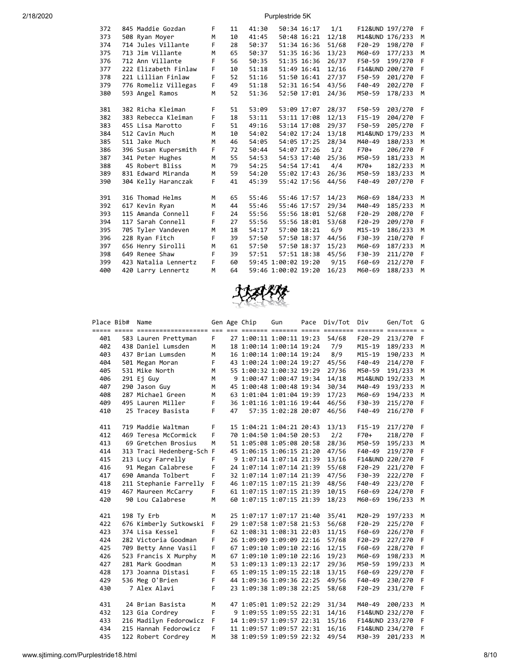| 372 | 845 Maddie Gozdan    | F | 11 | 41:30 | 50:34 16:17         | 1/1   |                    | F12&UND 197/270 | F |
|-----|----------------------|---|----|-------|---------------------|-------|--------------------|-----------------|---|
| 373 | 508 Ryan Moyer       | M | 10 | 41:45 | 50:48 16:21         | 12/18 |                    | M14&UND 176/233 | M |
| 374 | 714 Jules Villante   | F | 28 | 50:37 | 51:34 16:36         | 51/68 | $F20-29$           | 198/270         | F |
| 375 | 713 Jim Villante     | M | 65 | 50:37 | 51:35 16:36         | 13/23 | M60-69             | 177/233         | M |
| 376 | 712 Ann Villante     | F | 56 | 50:35 | 51:35 16:36         | 26/37 | F50-59             | 199/270         | F |
| 377 | 222 Elizabeth Finlaw | F | 10 | 51:18 | 51:49 16:41         | 12/16 |                    | F14&UND 200/270 | F |
| 378 | 221 Lillian Finlaw   | F | 52 | 51:16 | 51:50 16:41         | 27/37 | F50-59             | 201/270         | F |
| 379 | 776 Romeliz Villegas | F | 49 | 51:18 | 52:31 16:54         | 43/56 | $F40-49$           | 202/270         | F |
| 380 | 593 Angel Ramos      | M | 52 | 51:36 | 52:50 17:01         | 24/36 | M50-59             | 178/233         | M |
|     |                      |   |    |       |                     |       |                    |                 |   |
| 381 | 382 Richa Kleiman    | F | 51 | 53:09 | 53:09 17:07         | 28/37 | F50-59             | 203/270         | F |
| 382 | 383 Rebecca Kleiman  | F | 18 | 53:11 | 53:11 17:08         | 12/13 | $F15-19$           | 204/270         | F |
| 383 | 455 Lisa Marotto     | F | 51 | 49:16 | 53:14 17:08         | 29/37 | F50-59             | 205/270         | F |
| 384 | 512 Cavin Much       | M | 10 | 54:02 | 54:02 17:24         | 13/18 | <b>M14&amp;UND</b> | 179/233         | M |
| 385 | 511 Jake Much        | M | 46 | 54:05 | 54:05 17:25         | 28/34 | M40-49             | 180/233         | M |
| 386 | 396 Susan Kupersmith | F | 72 | 50:44 | 54:07 17:26         | 1/2   | F70+               | 206/270         | F |
| 387 | 341 Peter Hughes     | M | 55 | 54:53 | 54:53 17:40         | 25/36 | M50-59             | 181/233         | M |
| 388 | 45 Robert Bliss      | M | 79 | 54:25 | 54:54 17:41         | 4/4   | $M70+$             | 182/233         | M |
| 389 | 831 Edward Miranda   | M | 59 | 54:20 | 55:02 17:43         | 26/36 | M50-59             | 183/233         | M |
| 390 | 304 Kelly Haranczak  | F | 41 | 45:39 | 55:42 17:56         | 44/56 | F40-49             | 207/270         | E |
|     |                      |   |    |       |                     |       |                    |                 |   |
| 391 | 316 Thomad Helms     | M | 65 | 55:46 | 55:46 17:57         | 14/23 | M60-69             | 184/233         | M |
| 392 | 617 Kevin Ryan       | M | 44 | 55:46 | 55:46 17:57         | 29/34 | M40-49             | 185/233         | M |
| 393 | 115 Amanda Connell   | F | 24 | 55:56 | 55:56 18:01         | 52/68 | $F20-29$           | 208/270         | F |
| 394 | 117 Sarah Connell    | F | 27 | 55:56 | 55:56 18:01         | 53/68 | $F20-29$           | 209/270         | F |
| 395 | 705 Tyler Vandeven   | M | 18 | 54:17 | 57:00 18:21         | 6/9   | $M15 - 19$         | 186/233         | M |
| 396 | 228 Ryan Fitch       | F | 39 | 57:50 | 57:50 18:37         | 44/56 | F30-39             | 210/270         | F |
| 397 | 656 Henry Sirolli    | M | 61 | 57:50 | 57:50 18:37         | 15/23 | M60-69             | 187/233         | M |
| 398 | 649 Renee Shaw       | F | 39 | 57:51 | 57:51 18:38         | 45/56 | F30-39             | 211/270         | F |
| 399 | 423 Natalia Lennertz | F | 60 |       | 59:45 1:00:02 19:20 | 9/15  | F60-69             | 212/270         | F |
| 400 | 420 Larry Lennertz   | M | 64 |       | 59:46 1:00:02 19:20 | 16/23 | M60-69             | 188/233         | M |
|     |                      |   |    |       |                     |       |                    |                 |   |



|            | Place Bib# | Name                                    |         |    | Gen Age Chip | Gun                      | Pace Div/Tot | Div             | Gen/Tot G       |              |
|------------|------------|-----------------------------------------|---------|----|--------------|--------------------------|--------------|-----------------|-----------------|--------------|
|            |            |                                         |         |    |              |                          |              |                 |                 |              |
| 401<br>402 |            | 583 Lauren Prettyman                    | F.<br>M |    |              | 27 1:00:11 1:00:11 19:23 | 54/68<br>7/9 | F20-29          | 213/270         | F            |
| 403        |            | 438 Daniel Lumsden<br>437 Brian Lumsden |         |    |              | 18 1:00:14 1:00:14 19:24 | 8/9          | M15-19          | 189/233         | M            |
|            |            |                                         | М       |    |              | 16 1:00:14 1:00:14 19:24 |              | M15-19          | 190/233         | M            |
| 404<br>405 |            | 501 Megan Moran                         | F       |    |              | 43 1:00:24 1:00:24 19:27 | 45/56        | F40-49          | 214/270         | F            |
|            |            | 531 Mike North                          | M       |    |              | 55 1:00:32 1:00:32 19:29 | 27/36        | M50-59          | 191/233         | M            |
| 406        |            | 291 Ej Guy                              | м       |    |              | 9 1:00:47 1:00:47 19:34  | 14/18        | M14&UND 192/233 |                 | M            |
| 407        |            | 290 Jason Guy<br>287 Michael Green      | M       |    |              | 45 1:00:48 1:00:48 19:34 | 30/34        | M40-49          | 193/233         | М            |
| 408        |            |                                         | M       |    |              | 63 1:01:04 1:01:04 19:39 | 17/23        | M60-69          | 194/233         | M            |
| 409        |            | 495 Lauren Miller                       | F       |    |              | 36 1:01:16 1:01:16 19:44 | 46/56        | F30-39          | 215/270         | F            |
| 410        |            | 25 Tracey Basista                       | F       | 47 |              | 57:35 1:02:28 20:07      | 46/56        | F40-49          | 216/270         | -F           |
| 411        |            | 719 Maddie Waltman                      | F       |    |              | 15 1:04:21 1:04:21 20:43 | 13/13        | $F15-19$        | 217/270         | -F           |
| 412        |            | 469 Teresa McCormick                    | F       |    |              | 70 1:04:50 1:04:50 20:53 | 2/2          | F70+            | 218/270         | F            |
| 413        |            | 69 Gretchen Brosius                     | М       |    |              | 51 1:05:08 1:05:08 20:58 | 28/36        | M50-59          | 195/233         | M            |
| 414        |            | 313 Traci Hedenberg-Sch F               |         |    |              | 45 1:06:15 1:06:15 21:20 | 47/56        | F40-49          | 219/270         | F            |
| 415        |            | 213 Lucy Farrelly                       | F       |    |              | 9 1:07:14 1:07:14 21:39  | 13/16        |                 | F14&UND 220/270 | F            |
| 416        |            | 91 Megan Calabrese                      | F       |    |              | 24 1:07:14 1:07:14 21:39 | 55/68        | F20-29          | 221/270         | $\mathsf{F}$ |
| 417        |            | 690 Amanda Tolbert                      | F       |    |              | 32 1:07:14 1:07:14 21:39 | 47/56        | F30-39          | 222/270         | $\mathsf{F}$ |
| 418        |            | 211 Stephanie Farrelly                  | F       |    |              | 46 1:07:15 1:07:15 21:39 | 48/56        | F40-49          | 223/270         | F            |
| 419        |            | 467 Maureen McCarry                     | F       |    |              | 61 1:07:15 1:07:15 21:39 | 10/15        | F60-69          | 224/270         | F            |
| 420        |            | 90 Lou Calabrese                        | M       |    |              | 60 1:07:15 1:07:15 21:39 | 18/23        | M60-69          | 196/233         | M            |
|            |            |                                         |         |    |              |                          |              |                 |                 |              |
| 421        |            | 198 Ty Erb                              | М       |    |              | 25 1:07:17 1:07:17 21:40 | 35/41        | M20-29          | 197/233         | M            |
| 422        |            | 676 Kimberly Sutkowski                  | F       |    |              | 29 1:07:58 1:07:58 21:53 | 56/68        | F20-29          | 225/270         | F            |
| 423        |            | 374 Lisa Kessel                         | F       |    |              | 62 1:08:31 1:08:31 22:03 | 11/15        | F60-69          | 226/270         | -F           |
| 424        |            | 282 Victoria Goodman                    | F       |    |              | 26 1:09:09 1:09:09 22:16 | 57/68        | F20-29          | 227/270         | $\mathsf{F}$ |
| 425        |            | 709 Betty Anne Vasil                    | F       |    |              | 67 1:09:10 1:09:10 22:16 | 12/15        | F60-69          | 228/270         | F            |
| 426        |            | 523 Francis X Murphy                    | M       |    |              | 67 1:09:10 1:09:10 22:16 | 19/23        | M60-69          | 198/233         | M            |
| 427        |            | 281 Mark Goodman                        | M       |    |              | 53 1:09:13 1:09:13 22:17 | 29/36        | M50-59          | 199/233         | M            |
| 428        |            | 173 Joanna Distasi                      | F       |    |              | 65 1:09:15 1:09:15 22:18 | 13/15        | F60-69          | 229/270         | F            |
| 429        |            | 536 Meg O'Brien                         | F       |    |              | 44 1:09:36 1:09:36 22:25 | 49/56        | F40-49          | 230/270         | F            |
| 430        |            | 7 Alex Alavi                            | F       |    |              | 23 1:09:38 1:09:38 22:25 | 58/68        | F20-29          | 231/270         | $\mathsf{F}$ |
|            |            |                                         |         |    |              |                          |              |                 |                 |              |
| 431        |            | 24 Brian Basista                        | М       |    |              | 47 1:05:01 1:09:52 22:29 | 31/34        | M40-49          | 200/233         | М            |
| 432        |            | 123 Gia Cordrey                         | F       |    |              | 9 1:09:55 1:09:55 22:31  | 14/16        | F14&UND 232/270 |                 | F            |
| 433        |            | 216 Madilyn Fedorowicz                  | F       |    |              | 14 1:09:57 1:09:57 22:31 | 15/16        |                 | F14&UND 233/270 | F            |
| 434        |            | 215 Hannah Fedorowicz                   | F       |    |              | 11 1:09:57 1:09:57 22:31 | 16/16        |                 | F14&UND 234/270 | F            |
| 435        |            | 122 Robert Cordrey                      | M       |    |              | 38 1:09:59 1:09:59 22:32 | 49/54        | M30-39          | 201/233         | M            |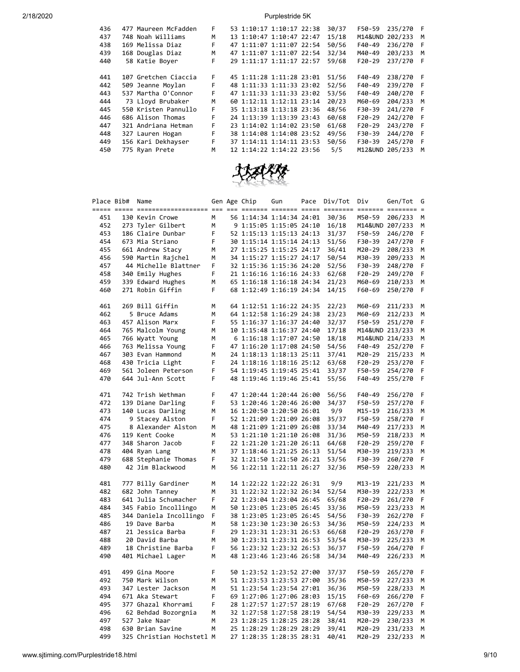| 436 | 477 Maureen McFadden | F. | 53 1:10:17 1:10:17 22:38 |  | 30/37 | F50-59          | 235/270 | - F |
|-----|----------------------|----|--------------------------|--|-------|-----------------|---------|-----|
| 437 | 748 Noah Williams    | М  | 13 1:10:47 1:10:47 22:47 |  | 15/18 | M14&UND 202/233 |         | M   |
| 438 | 169 Melissa Diaz     | F  | 47 1:11:07 1:11:07 22:54 |  | 50/56 | F40-49          | 236/270 | -F  |
| 439 | 168 Douglas Diaz     | M  | 47 1:11:07 1:11:07 22:54 |  | 32/34 | M40-49          | 203/233 | M   |
| 440 | 58 Katie Boyer       | F  | 29 1:11:17 1:11:17 22:57 |  | 59/68 | $F20-29$        | 237/270 | - F |
|     |                      |    |                          |  |       |                 |         |     |
| 441 | 107 Gretchen Ciaccia | F  | 45 1:11:28 1:11:28 23:01 |  | 51/56 | F40-49          | 238/270 | - F |
| 442 | 509 Jeanne Moylan    | F  | 48 1:11:33 1:11:33 23:02 |  | 52/56 | F40-49          | 239/270 | - F |
| 443 | 537 Martha O'Connor  | F. | 47 1:11:33 1:11:33 23:02 |  | 53/56 | F40-49          | 240/270 | - F |
| 444 | 73 Lloyd Brubaker    | M  | 60 1:12:11 1:12:11 23:14 |  | 20/23 | M60-69          | 204/233 | м   |
| 445 | 550 Kristen Pannullo | F. | 35 1:13:18 1:13:18 23:36 |  | 48/56 | F30-39          | 241/270 | - F |
| 446 | 686 Alison Thomas    | F  | 24 1:13:39 1:13:39 23:43 |  | 60/68 | $F20-29$        | 242/270 | - F |
| 447 | 321 Andriana Hetman  | F  | 23 1:14:02 1:14:02 23:50 |  | 61/68 | $F20-29$        | 243/270 | - F |
| 448 | 327 Lauren Hogan     | F  | 38 1:14:08 1:14:08 23:52 |  | 49/56 | F30-39          | 244/270 | -F  |
| 449 | 156 Kari Dekhayser   | F. | 37 1:14:11 1:14:11 23:53 |  | 50/56 | F30-39          | 245/270 | - F |
| 450 | 775 Ryan Prete       | M  | 12 1:14:22 1:14:22 23:56 |  | 5/5   | M12&UND 205/233 |         | M   |
|     |                      |    |                          |  |       |                 |         |     |



| Place Bib# | Name                             |   | Gen Age Chip | Gun                      | Pace | Div/Tot | Div      | Gen/Tot                 | G |
|------------|----------------------------------|---|--------------|--------------------------|------|---------|----------|-------------------------|---|
|            | ===== ===== ==================== |   |              |                          |      |         |          | $=$ $=$ $=$ $=$ $=$ $=$ |   |
| 451        | 130 Kevin Crowe                  | M |              | 56 1:14:34 1:14:34 24:01 |      | 30/36   | M50-59   | 206/233                 | M |
| 452        | 273 Tyler Gilbert                | М |              | 9 1:15:05 1:15:05 24:10  |      | 16/18   |          | M14&UND 207/233         | М |
| 453        | 186 Claire Dunbar                | F |              | 52 1:15:13 1:15:13 24:13 |      | 31/37   | F50-59   | 246/270                 | F |
| 454        | 673 Mia Striano                  | F |              | 30 1:15:14 1:15:14 24:13 |      | 51/56   | F30-39   | 247/270                 | F |
| 455        | 661 Andrew Stacy                 | M |              | 27 1:15:25 1:15:25 24:17 |      | 36/41   | M20-29   | 208/233                 | М |
| 456        | 590 Martin Rajchel               | М |              | 34 1:15:27 1:15:27 24:17 |      | 50/54   | M30-39   | 209/233                 | М |
| 457        | 44 Michelle Blattner             | F |              | 32 1:15:36 1:15:36 24:20 |      | 52/56   | F30-39   | 248/270                 | F |
| 458        | 340 Emily Hughes                 | F |              | 21 1:16:16 1:16:16 24:33 |      | 62/68   | $F20-29$ | 249/270                 | F |
| 459        | 339 Edward Hughes                | М |              | 65 1:16:18 1:16:18 24:34 |      | 21/23   | M60-69   | 210/233                 | М |
| 460        | 271 Robin Giffin                 | F |              | 68 1:12:49 1:16:19 24:34 |      | 14/15   | F60-69   | 250/270                 | F |
| 461        | 269 Bill Giffin                  | М |              | 64 1:12:51 1:16:22 24:35 |      | 22/23   | M60-69   | 211/233                 | М |
| 462        | 5 Bruce Adams                    | M |              | 64 1:12:58 1:16:29 24:38 |      | 23/23   | M60-69   | 212/233                 | М |
| 463        | 457 Alison Marx                  | F |              | 55 1:16:37 1:16:37 24:40 |      | 32/37   | F50-59   | 251/270                 | F |
| 464        | 765 Malcolm Young                | М |              | 10 1:15:48 1:16:37 24:40 |      | 17/18   |          | M14&UND 213/233         | М |
| 465        | 766 Wyatt Young                  | M |              | 6 1:16:18 1:17:07 24:50  |      | 18/18   |          | M14&UND 214/233         | М |
| 466        | 763 Melissa Young                | F |              | 47 1:16:20 1:17:08 24:50 |      | 54/56   | F40-49   | 252/270                 | F |
| 467        | 303 Evan Hammond                 | М |              | 24 1:18:13 1:18:13 25:11 |      | 37/41   | M20-29   | 215/233                 | М |
| 468        | 430 Tricia Light                 | F |              | 24 1:18:16 1:18:16 25:12 |      | 63/68   | F20-29   | 253/270                 | F |
| 469        | 561 Joleen Peterson              | F |              | 54 1:19:45 1:19:45 25:41 |      | 33/37   | F50-59   | 254/270                 | F |
| 470        | 644 Jul-Ann Scott                | F |              | 48 1:19:46 1:19:46 25:41 |      | 55/56   | F40-49   | 255/270                 | F |
| 471        | 742 Trish Wethman                | F |              | 47 1:20:44 1:20:44 26:00 |      | 56/56   | F40-49   | 256/270                 | F |
| 472        | 139 Diane Darling                | F |              | 53 1:20:46 1:20:46 26:00 |      | 34/37   | F50-59   | 257/270                 | F |
| 473        | 140 Lucas Darling                | M |              | 16 1:20:50 1:20:50 26:01 |      | 9/9     | M15-19   | 216/233                 | M |
| 474        | 9 Stacey Alston                  | F |              | 52 1:21:09 1:21:09 26:08 |      | 35/37   | F50-59   | 258/270                 | F |
| 475        | 8 Alexander Alston               | M |              | 48 1:21:09 1:21:09 26:08 |      | 33/34   | M40-49   | 217/233                 | M |
| 476        | 119 Kent Cooke                   | M |              | 53 1:21:10 1:21:10 26:08 |      | 31/36   | M50-59   | 218/233                 | M |
| 477        | 348 Sharon Jacob                 | F |              | 22 1:21:20 1:21:20 26:11 |      | 64/68   | $F20-29$ | 259/270                 | F |
| 478        | 404 Ryan Lang                    | M |              | 37 1:18:46 1:21:25 26:13 |      | 51/54   | M30-39   | 219/233                 | М |
| 479        | 688 Stephanie Thomas             | F |              | 32 1:21:50 1:21:50 26:21 |      | 53/56   | F30-39   | 260/270                 | F |
| 480        | 42 Jim Blackwood                 | M |              | 56 1:22:11 1:22:11 26:27 |      | 32/36   | M50-59   | 220/233                 | M |
| 481        | 777 Billy Gardiner               | M |              | 14 1:22:22 1:22:22 26:31 |      | 9/9     | M13-19   | 221/233                 | M |
| 482        | 682 John Tanney                  | M |              | 31 1:22:32 1:22:32 26:34 |      | 52/54   | M30-39   | 222/233                 | М |
| 483        | 641 Julia Schumacher             | F |              | 22 1:23:04 1:23:04 26:45 |      | 65/68   | $F20-29$ | 261/270                 | F |
| 484        | 345 Fabio Incollingo             | Μ |              | 50 1:23:05 1:23:05 26:45 |      | 33/36   | M50-59   | 223/233                 | М |
| 485        | 344 Daniela Incollingo           | F |              | 38 1:23:05 1:23:05 26:45 |      | 54/56   | F30-39   | 262/270                 | F |
| 486        | 19 Dave Barba                    | М |              | 58 1:23:30 1:23:30 26:53 |      | 34/36   | M50-59   | 224/233                 | М |
| 487        | 21 Jessica Barba                 | F |              | 29 1:23:31 1:23:31 26:53 |      | 66/68   | F20-29   | 263/270                 | F |
| 488        | 20 David Barba                   | М |              | 30 1:23:31 1:23:31 26:53 |      | 53/54   | M30-39   | 225/233                 | М |
| 489        | 18 Christine Barba               | F |              | 56 1:23:32 1:23:32 26:53 |      | 36/37   | F50-59   | 264/270                 | F |
| 490        | 401 Michael Lager                | M |              | 48 1:23:46 1:23:46 26:58 |      | 34/34   | M40-49   | 226/233                 | M |
| 491        | 499 Gina Moore                   | F |              | 50 1:23:52 1:23:52 27:00 |      | 37/37   | F50-59   | 265/270                 | F |
| 492        | 750 Mark Wilson                  | М |              | 51 1:23:53 1:23:53 27:00 |      | 35/36   | M50-59   | 227/233                 | М |
| 493        | 347 Lester Jackson               | M |              | 51 1:23:54 1:23:54 27:01 |      | 36/36   | M50-59   | 228/233                 | M |
| 494        | 671 Aka Stewart                  | F |              | 69 1:27:06 1:27:06 28:03 |      | 15/15   | F60-69   | 266/270                 | F |
| 495        | 377 Ghazal Khorrami              | F |              | 28 1:27:57 1:27:57 28:19 |      | 67/68   | $F20-29$ | 267/270                 | F |
| 496        | 62 Behdad Bozorgnia              | М |              | 32 1:27:58 1:27:58 28:19 |      | 54/54   | M30-39   | 229/233                 | М |
| 497        | 527 Jake Naar                    | M |              | 23 1:28:25 1:28:25 28:28 |      | 38/41   | M20-29   | 230/233                 | M |
| 498        | 630 Brian Savine                 | M |              | 25 1:28:29 1:28:29 28:29 |      | 39/41   | M20-29   | 231/233                 | М |
| 499        | 325 Christian Hochstetl M        |   |              | 27 1:28:35 1:28:35 28:31 |      | 40/41   | M20-29   | 232/233                 | M |